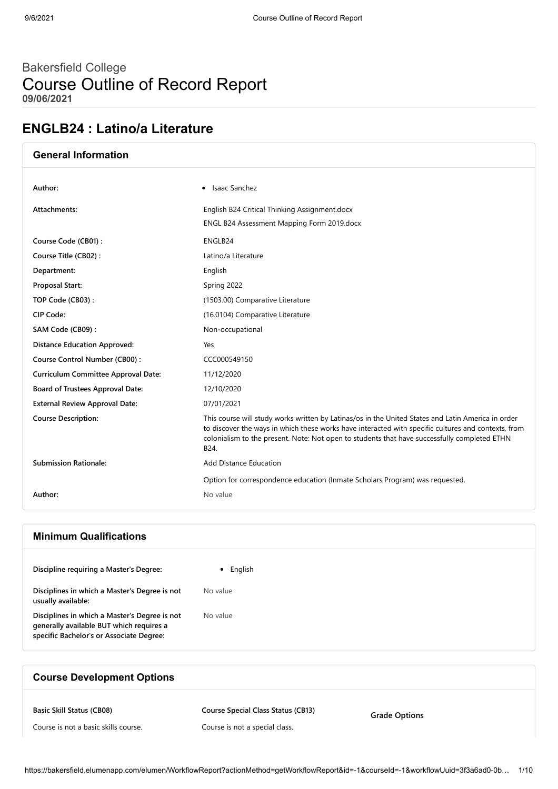# Bakersfield College Course Outline of Record Report **09/06/2021**

# **ENGLB24 : Latino/a Literature**

| <b>General Information</b>                 |                                                                                                                                                                                                                                                                                                                   |
|--------------------------------------------|-------------------------------------------------------------------------------------------------------------------------------------------------------------------------------------------------------------------------------------------------------------------------------------------------------------------|
| Author:                                    | • Isaac Sanchez                                                                                                                                                                                                                                                                                                   |
| Attachments:                               | English B24 Critical Thinking Assignment.docx<br>ENGL B24 Assessment Mapping Form 2019.docx                                                                                                                                                                                                                       |
| Course Code (CB01):                        | ENGLB24                                                                                                                                                                                                                                                                                                           |
| Course Title (CB02):                       | Latino/a Literature                                                                                                                                                                                                                                                                                               |
| Department:                                | English                                                                                                                                                                                                                                                                                                           |
| Proposal Start:                            | Spring 2022                                                                                                                                                                                                                                                                                                       |
| TOP Code (CB03):                           | (1503.00) Comparative Literature                                                                                                                                                                                                                                                                                  |
| CIP Code:                                  | (16.0104) Comparative Literature                                                                                                                                                                                                                                                                                  |
| SAM Code (CB09):                           | Non-occupational                                                                                                                                                                                                                                                                                                  |
| <b>Distance Education Approved:</b>        | Yes                                                                                                                                                                                                                                                                                                               |
| Course Control Number (CB00):              | CCC000549150                                                                                                                                                                                                                                                                                                      |
| <b>Curriculum Committee Approval Date:</b> | 11/12/2020                                                                                                                                                                                                                                                                                                        |
| Board of Trustees Approval Date:           | 12/10/2020                                                                                                                                                                                                                                                                                                        |
| <b>External Review Approval Date:</b>      | 07/01/2021                                                                                                                                                                                                                                                                                                        |
| <b>Course Description:</b>                 | This course will study works written by Latinas/os in the United States and Latin America in order<br>to discover the ways in which these works have interacted with specific cultures and contexts, from<br>colonialism to the present. Note: Not open to students that have successfully completed ETHN<br>B24. |
| <b>Submission Rationale:</b>               | <b>Add Distance Education</b>                                                                                                                                                                                                                                                                                     |
|                                            | Option for correspondence education (Inmate Scholars Program) was requested.                                                                                                                                                                                                                                      |
| Author:                                    | No value                                                                                                                                                                                                                                                                                                          |

## **Minimum Qualifications**

| Discipline requiring a Master's Degree:                                                                                               | English<br>$\bullet$ |
|---------------------------------------------------------------------------------------------------------------------------------------|----------------------|
| Disciplines in which a Master's Degree is not<br>usually available:                                                                   | No value             |
| Disciplines in which a Master's Degree is not<br>generally available BUT which requires a<br>specific Bachelor's or Associate Degree: | No value             |

## **Course Development Options**

**Basic Skill Status (CB08)**

**Course Special Class Status (CB13)**

Course is not a basic skills course.

Course is not a special class.

**Grade Options**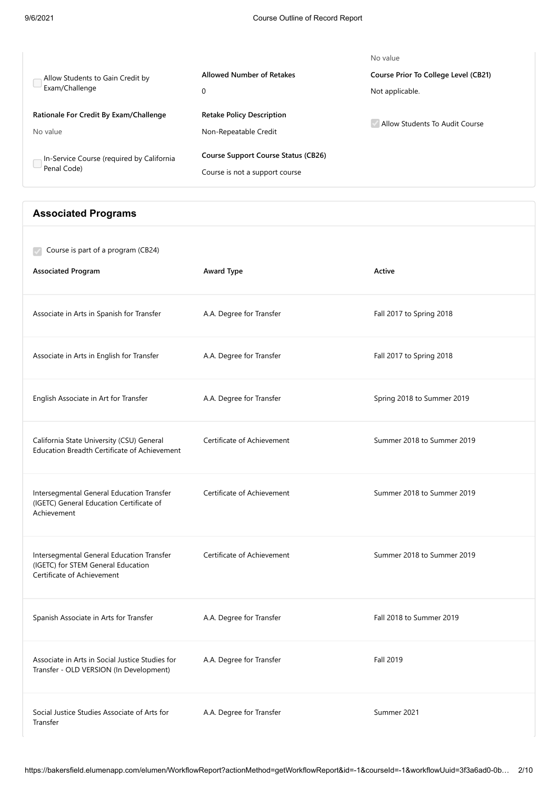|                                           |                                            | No value                             |
|-------------------------------------------|--------------------------------------------|--------------------------------------|
| Allow Students to Gain Credit by          | <b>Allowed Number of Retakes</b>           | Course Prior To College Level (CB21) |
| Exam/Challenge                            | 0                                          | Not applicable.                      |
| Rationale For Credit By Exam/Challenge    | <b>Retake Policy Description</b>           |                                      |
| No value                                  | Non-Repeatable Credit                      | Allow Students To Audit Course       |
| In-Service Course (required by California | <b>Course Support Course Status (CB26)</b> |                                      |
| Penal Code)                               | Course is not a support course             |                                      |

## **Associated Programs**

| Course is part of a program (CB24)<br><b>Associated Program</b>                                               | Award Type                 | Active                     |
|---------------------------------------------------------------------------------------------------------------|----------------------------|----------------------------|
| Associate in Arts in Spanish for Transfer                                                                     | A.A. Degree for Transfer   | Fall 2017 to Spring 2018   |
| Associate in Arts in English for Transfer                                                                     | A.A. Degree for Transfer   | Fall 2017 to Spring 2018   |
| English Associate in Art for Transfer                                                                         | A.A. Degree for Transfer   | Spring 2018 to Summer 2019 |
| California State University (CSU) General<br><b>Education Breadth Certificate of Achievement</b>              | Certificate of Achievement | Summer 2018 to Summer 2019 |
| Intersegmental General Education Transfer<br>(IGETC) General Education Certificate of<br>Achievement          | Certificate of Achievement | Summer 2018 to Summer 2019 |
| Intersegmental General Education Transfer<br>(IGETC) for STEM General Education<br>Certificate of Achievement | Certificate of Achievement | Summer 2018 to Summer 2019 |
| Spanish Associate in Arts for Transfer                                                                        | A.A. Degree for Transfer   | Fall 2018 to Summer 2019   |
| Associate in Arts in Social Justice Studies for<br>Transfer - OLD VERSION (In Development)                    | A.A. Degree for Transfer   | Fall 2019                  |
| Social Justice Studies Associate of Arts for<br>Transfer                                                      | A.A. Degree for Transfer   | Summer 2021                |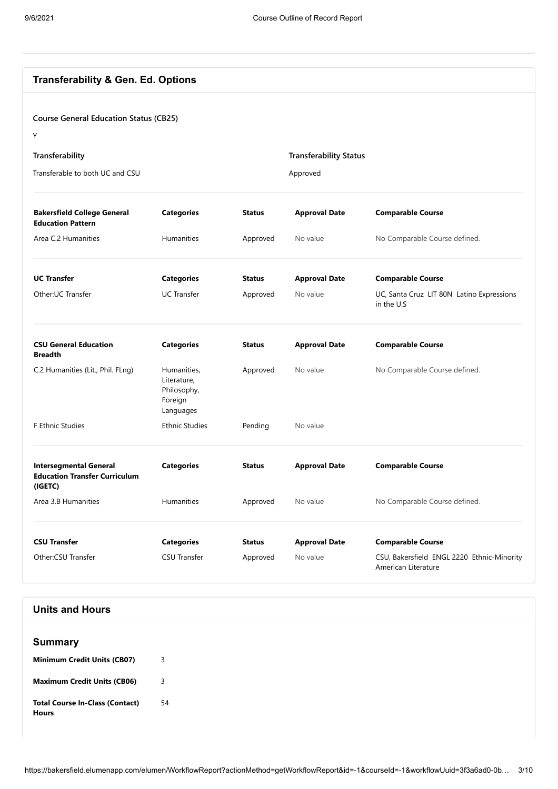| <b>Transferability &amp; Gen. Ed. Options</b>                                    |                                                                   |               |                               |                                                                   |
|----------------------------------------------------------------------------------|-------------------------------------------------------------------|---------------|-------------------------------|-------------------------------------------------------------------|
| <b>Course General Education Status (CB25)</b>                                    |                                                                   |               |                               |                                                                   |
| Y                                                                                |                                                                   |               |                               |                                                                   |
| Transferability                                                                  |                                                                   |               | <b>Transferability Status</b> |                                                                   |
| Transferable to both UC and CSU                                                  |                                                                   |               |                               |                                                                   |
|                                                                                  |                                                                   |               | Approved                      |                                                                   |
| <b>Bakersfield College General</b><br><b>Education Pattern</b>                   | <b>Categories</b>                                                 | <b>Status</b> | <b>Approval Date</b>          | <b>Comparable Course</b>                                          |
| Area C.2 Humanities                                                              | <b>Humanities</b>                                                 | Approved      | No value                      | No Comparable Course defined.                                     |
| <b>UC Transfer</b>                                                               | <b>Categories</b>                                                 | <b>Status</b> | <b>Approval Date</b>          | <b>Comparable Course</b>                                          |
| Other:UC Transfer                                                                | <b>UC Transfer</b>                                                | Approved      | No value                      | UC, Santa Cruz LIT 80N Latino Expressions<br>in the U.S           |
| <b>CSU General Education</b><br><b>Breadth</b>                                   | <b>Categories</b>                                                 | <b>Status</b> | <b>Approval Date</b>          | <b>Comparable Course</b>                                          |
| C.2 Humanities (Lit., Phil. FLng)                                                | Humanities,<br>Literature,<br>Philosophy,<br>Foreign<br>Languages | Approved      | No value                      | No Comparable Course defined.                                     |
| F Ethnic Studies                                                                 | <b>Ethnic Studies</b>                                             | Pending       | No value                      |                                                                   |
| <b>Intersegmental General</b><br><b>Education Transfer Curriculum</b><br>(IGETC) | <b>Categories</b>                                                 | <b>Status</b> | <b>Approval Date</b>          | <b>Comparable Course</b>                                          |
| Area 3.B Humanities                                                              | Humanities                                                        | Approved      | No value                      | No Comparable Course defined.                                     |
| <b>CSU Transfer</b>                                                              | <b>Categories</b>                                                 | <b>Status</b> | <b>Approval Date</b>          | <b>Comparable Course</b>                                          |
| Other:CSU Transfer                                                               | <b>CSU Transfer</b>                                               | Approved      | No value                      | CSU, Bakersfield ENGL 2220 Ethnic-Minority<br>American Literature |

## **Units and Hours**

| <b>Summary</b>                                         |    |
|--------------------------------------------------------|----|
| <b>Minimum Credit Units (CB07)</b>                     | 3  |
| <b>Maximum Credit Units (CB06)</b>                     | 3  |
| <b>Total Course In-Class (Contact)</b><br><b>Hours</b> | 54 |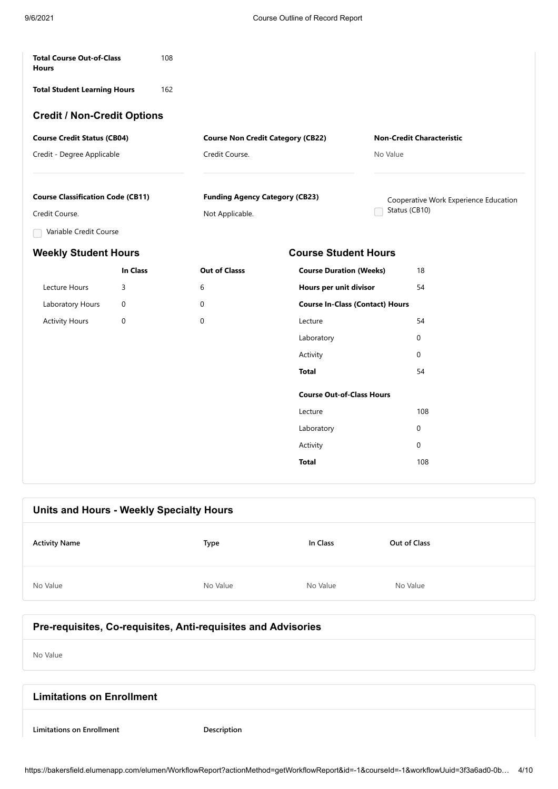| <b>Total Course Out-of-Class</b><br><b>Hours</b> |             | 108 |                                          |                                        |               |                                       |  |
|--------------------------------------------------|-------------|-----|------------------------------------------|----------------------------------------|---------------|---------------------------------------|--|
| <b>Total Student Learning Hours</b>              |             | 162 |                                          |                                        |               |                                       |  |
| <b>Credit / Non-Credit Options</b>               |             |     |                                          |                                        |               |                                       |  |
| <b>Course Credit Status (CB04)</b>               |             |     | <b>Course Non Credit Category (CB22)</b> |                                        |               | <b>Non-Credit Characteristic</b>      |  |
| Credit - Degree Applicable                       |             |     | Credit Course.                           |                                        | No Value      |                                       |  |
|                                                  |             |     |                                          |                                        |               |                                       |  |
| <b>Course Classification Code (CB11)</b>         |             |     | <b>Funding Agency Category (CB23)</b>    |                                        | Status (CB10) | Cooperative Work Experience Education |  |
| Credit Course.                                   |             |     | Not Applicable.                          |                                        |               |                                       |  |
| Variable Credit Course                           |             |     |                                          |                                        |               |                                       |  |
| <b>Weekly Student Hours</b>                      |             |     |                                          | <b>Course Student Hours</b>            |               |                                       |  |
|                                                  | In Class    |     | <b>Out of Classs</b>                     | <b>Course Duration (Weeks)</b>         |               | 18                                    |  |
| Lecture Hours                                    | 3           |     | 6                                        | Hours per unit divisor                 |               | 54                                    |  |
| Laboratory Hours                                 | $\mathbf 0$ |     | $\mathbf 0$                              | <b>Course In-Class (Contact) Hours</b> |               |                                       |  |
| <b>Activity Hours</b>                            | 0           |     | $\Omega$                                 | Lecture                                |               | 54                                    |  |
|                                                  |             |     |                                          | Laboratory                             |               | $\mathbf 0$                           |  |
|                                                  |             |     |                                          | Activity                               |               | 0                                     |  |
|                                                  |             |     |                                          | <b>Total</b>                           |               | 54                                    |  |
|                                                  |             |     |                                          | <b>Course Out-of-Class Hours</b>       |               |                                       |  |
|                                                  |             |     |                                          | Lecture                                |               | 108                                   |  |
|                                                  |             |     |                                          | Laboratory                             |               | 0                                     |  |
|                                                  |             |     |                                          | Activity                               |               | 0                                     |  |
|                                                  |             |     |                                          | <b>Total</b>                           |               | 108                                   |  |
|                                                  |             |     |                                          |                                        |               |                                       |  |

| Units and Hours - Weekly Specialty Hours |          |          |              |
|------------------------------------------|----------|----------|--------------|
| <b>Activity Name</b>                     | Type     | In Class | Out of Class |
| No Value                                 | No Value | No Value | No Value     |

# **Pre-requisites, Co-requisites, Anti-requisites and Advisories**

No Value

| <b>Limitations on Enrollment</b> |             |
|----------------------------------|-------------|
| <b>Limitations on Enrollment</b> | Description |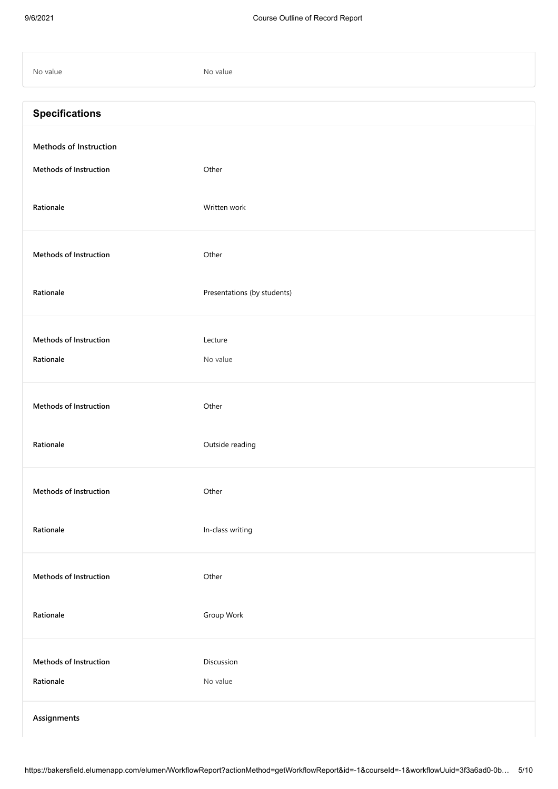| No value                                         | No value                    |
|--------------------------------------------------|-----------------------------|
| <b>Specifications</b>                            |                             |
| Methods of Instruction<br>Methods of Instruction | Other                       |
| Rationale                                        | Written work                |
| Methods of Instruction                           | Other                       |
| Rationale                                        | Presentations (by students) |
| Methods of Instruction<br>Rationale              | Lecture<br>No value         |
| <b>Methods of Instruction</b>                    | Other                       |
| Rationale                                        | Outside reading             |
| Methods of Instruction                           | Other                       |
| Rationale                                        | In-class writing            |
| Methods of Instruction                           | Other                       |
| Rationale                                        | Group Work                  |
| Methods of Instruction<br>Rationale              | Discussion<br>No value      |
| Assignments                                      |                             |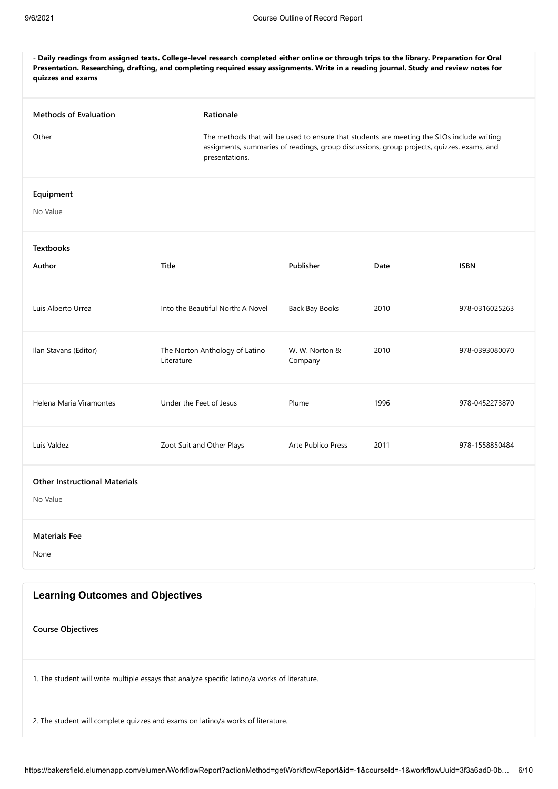- **Daily readings from assigned texts. College-level research completed either online or through trips to the library. Preparation for Oral Presentation. Researching, drafting, and completing required essay assignments. Write in a reading journal. Study and review notes for quizzes and exams**

| <b>Methods of Evaluation</b><br>Other            | Rationale<br>presentations.                  | The methods that will be used to ensure that students are meeting the SLOs include writing<br>assigments, summaries of readings, group discussions, group projects, quizzes, exams, and |      |                |  |
|--------------------------------------------------|----------------------------------------------|-----------------------------------------------------------------------------------------------------------------------------------------------------------------------------------------|------|----------------|--|
| Equipment<br>No Value                            |                                              |                                                                                                                                                                                         |      |                |  |
| <b>Textbooks</b><br>Author                       | Title                                        | Publisher                                                                                                                                                                               | Date | <b>ISBN</b>    |  |
| Luis Alberto Urrea                               | Into the Beautiful North: A Novel            | Back Bay Books                                                                                                                                                                          | 2010 | 978-0316025263 |  |
| Ilan Stavans (Editor)                            | The Norton Anthology of Latino<br>Literature | W. W. Norton &<br>Company                                                                                                                                                               | 2010 | 978-0393080070 |  |
| Helena Maria Viramontes                          | Under the Feet of Jesus                      | Plume                                                                                                                                                                                   | 1996 | 978-0452273870 |  |
| Luis Valdez                                      | Zoot Suit and Other Plays                    | Arte Publico Press                                                                                                                                                                      | 2011 | 978-1558850484 |  |
| <b>Other Instructional Materials</b><br>No Value |                                              |                                                                                                                                                                                         |      |                |  |
| <b>Materials Fee</b><br>None                     |                                              |                                                                                                                                                                                         |      |                |  |
| <b>Learning Outcomes and Objectives</b>          |                                              |                                                                                                                                                                                         |      |                |  |
| <b>Course Objectives</b>                         |                                              |                                                                                                                                                                                         |      |                |  |
|                                                  |                                              |                                                                                                                                                                                         |      |                |  |

1. The student will write multiple essays that analyze specific latino/a works of literature.

2. The student will complete quizzes and exams on latino/a works of literature.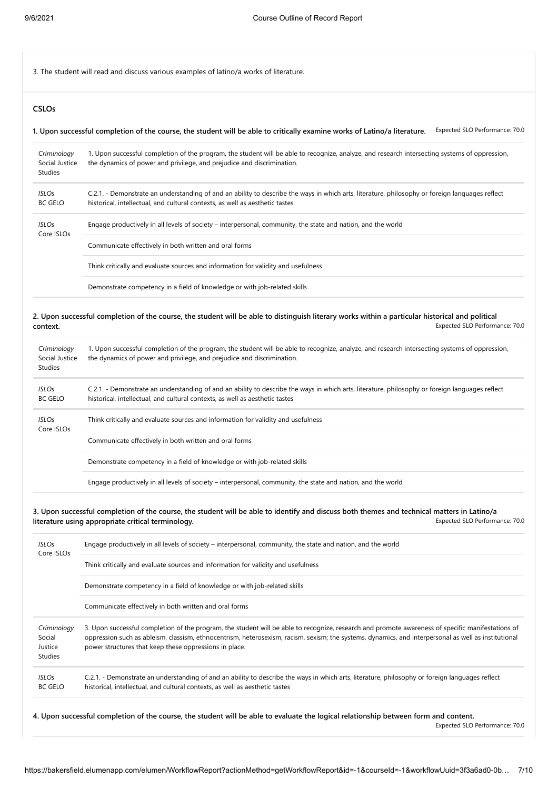3. The student will read and discuss various examples of latino/a works of literature.

### **CSLOs**

**1. Upon successful completion of the course, the student will be able to critically examine works of Latino/a literature.** Expected SLO Performance: 70.0

| Criminology<br>Social Justice<br><b>Studies</b> | 1. Upon successful completion of the program, the student will be able to recognize, analyze, and research intersecting systems of oppression,<br>the dynamics of power and privilege, and prejudice and discrimination.        |
|-------------------------------------------------|---------------------------------------------------------------------------------------------------------------------------------------------------------------------------------------------------------------------------------|
| <b>ISLOs</b><br><b>BC GELO</b>                  | C.2.1. - Demonstrate an understanding of and an ability to describe the ways in which arts, literature, philosophy or foreign languages reflect<br>historical, intellectual, and cultural contexts, as well as aesthetic tastes |
| <b>ISLOs</b><br>Core ISLOs                      | Engage productively in all levels of society – interpersonal, community, the state and nation, and the world                                                                                                                    |
|                                                 | Communicate effectively in both written and oral forms                                                                                                                                                                          |
|                                                 | Think critically and evaluate sources and information for validity and usefulness                                                                                                                                               |
|                                                 | Demonstrate competency in a field of knowledge or with job-related skills                                                                                                                                                       |

Expected SLO Performance: 70.0 **2. Upon successful completion of the course, the student will be able to distinguish literary works within a particular historical and political context.**

| Criminology<br>Social Justice<br>Studies | 1. Upon successful completion of the program, the student will be able to recognize, analyze, and research intersecting systems of oppression,<br>the dynamics of power and privilege, and prejudice and discrimination.        |
|------------------------------------------|---------------------------------------------------------------------------------------------------------------------------------------------------------------------------------------------------------------------------------|
| <b>ISLOs</b><br><b>BC GELO</b>           | C.2.1. - Demonstrate an understanding of and an ability to describe the ways in which arts, literature, philosophy or foreign languages reflect<br>historical, intellectual, and cultural contexts, as well as aesthetic tastes |
| <b>ISLOs</b><br>Core ISLOs               | Think critically and evaluate sources and information for validity and usefulness                                                                                                                                               |
|                                          | Communicate effectively in both written and oral forms                                                                                                                                                                          |
|                                          | Demonstrate competency in a field of knowledge or with job-related skills                                                                                                                                                       |
|                                          | Engage productively in all levels of society – interpersonal, community, the state and nation, and the world                                                                                                                    |

Expected SLO Performance: 70.0 **3. Upon successful completion of the course, the student will be able to identify and discuss both themes and technical matters in Latino/a literature using appropriate critical terminology.**

| <b>ISLOs</b><br>Core ISLOs                  | Engage productively in all levels of society – interpersonal, community, the state and nation, and the world                                                                                                                                                                                                                                                        |  |  |
|---------------------------------------------|---------------------------------------------------------------------------------------------------------------------------------------------------------------------------------------------------------------------------------------------------------------------------------------------------------------------------------------------------------------------|--|--|
|                                             | Think critically and evaluate sources and information for validity and usefulness                                                                                                                                                                                                                                                                                   |  |  |
|                                             | Demonstrate competency in a field of knowledge or with job-related skills                                                                                                                                                                                                                                                                                           |  |  |
|                                             | Communicate effectively in both written and oral forms                                                                                                                                                                                                                                                                                                              |  |  |
| Criminology<br>Social<br>Justice<br>Studies | 3. Upon successful completion of the program, the student will be able to recognize, research and promote awareness of specific manifestations of<br>oppression such as ableism, classism, ethnocentrism, heterosexism, racism, sexism; the systems, dynamics, and interpersonal as well as institutional<br>power structures that keep these oppressions in place. |  |  |
| <b>ISLOs</b><br><b>BC GELO</b>              | C.2.1. - Demonstrate an understanding of and an ability to describe the ways in which arts, literature, philosophy or foreign languages reflect<br>historical, intellectual, and cultural contexts, as well as aesthetic tastes                                                                                                                                     |  |  |
|                                             |                                                                                                                                                                                                                                                                                                                                                                     |  |  |

**4. Upon successful completion of the course, the student will be able to evaluate the logical relationship between form and content.**

Expected SLO Performance: 70.0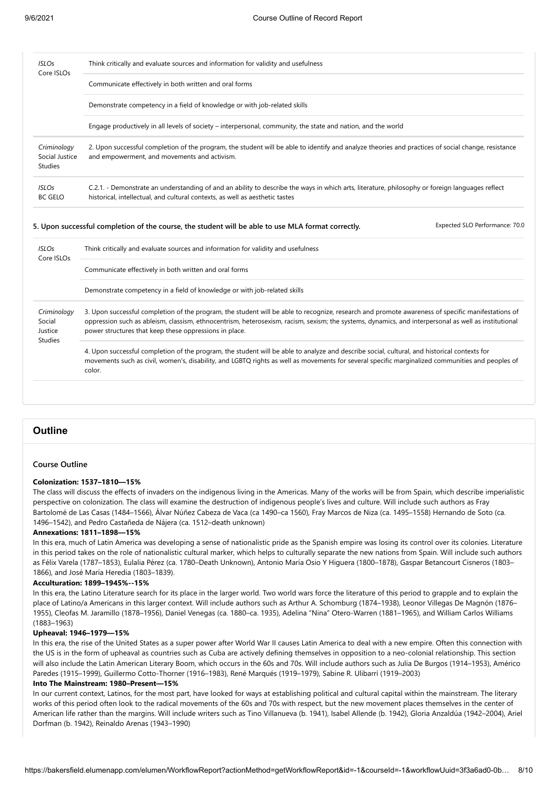| <b>ISLOs</b><br>Core ISLOs                         | Think critically and evaluate sources and information for validity and usefulness                                                                                                                                                                                                                                                                                   |  |
|----------------------------------------------------|---------------------------------------------------------------------------------------------------------------------------------------------------------------------------------------------------------------------------------------------------------------------------------------------------------------------------------------------------------------------|--|
|                                                    | Communicate effectively in both written and oral forms                                                                                                                                                                                                                                                                                                              |  |
|                                                    | Demonstrate competency in a field of knowledge or with job-related skills                                                                                                                                                                                                                                                                                           |  |
|                                                    | Engage productively in all levels of society – interpersonal, community, the state and nation, and the world                                                                                                                                                                                                                                                        |  |
| Criminology<br>Social Justice<br><b>Studies</b>    | 2. Upon successful completion of the program, the student will be able to identify and analyze theories and practices of social change, resistance<br>and empowerment, and movements and activism.                                                                                                                                                                  |  |
| <b>ISLOs</b><br><b>BC GELO</b>                     | C.2.1. - Demonstrate an understanding of and an ability to describe the ways in which arts, literature, philosophy or foreign languages reflect<br>historical, intellectual, and cultural contexts, as well as aesthetic tastes                                                                                                                                     |  |
|                                                    | Expected SLO Performance: 70.0<br>5. Upon successful completion of the course, the student will be able to use MLA format correctly.                                                                                                                                                                                                                                |  |
| <b>ISLOs</b><br>Core ISLOs                         | Think critically and evaluate sources and information for validity and usefulness                                                                                                                                                                                                                                                                                   |  |
|                                                    | Communicate effectively in both written and oral forms                                                                                                                                                                                                                                                                                                              |  |
|                                                    | Demonstrate competency in a field of knowledge or with job-related skills                                                                                                                                                                                                                                                                                           |  |
| Criminology<br>Social<br>Justice<br><b>Studies</b> | 3. Upon successful completion of the program, the student will be able to recognize, research and promote awareness of specific manifestations of<br>oppression such as ableism, classism, ethnocentrism, heterosexism, racism, sexism; the systems, dynamics, and interpersonal as well as institutional<br>power structures that keep these oppressions in place. |  |
|                                                    | 4. Upon successful completion of the program, the student will be able to analyze and describe social, cultural, and historical contexts for<br>movements such as civil, women's, disability, and LGBTQ rights as well as movements for several specific marginalized communities and peoples of<br>color.                                                          |  |

### **Outline**

#### **Course Outline**

#### **Colonization: 1537–1810—15%**

The class will discuss the effects of invaders on the indigenous living in the Americas. Many of the works will be from Spain, which describe imperialistic perspective on colonization. The class will examine the destruction of indigenous people's lives and culture. Will include such authors as Fray Bartolomé de Las Casas (1484–1566), Álvar Núñez Cabeza de Vaca (ca 1490–ca 1560), Fray Marcos de Niza (ca. 1495–1558) Hernando de Soto (ca. 1496–1542), and Pedro Castañeda de Nájera (ca. 1512–death unknown)

#### **Annexations: 1811–1898—15%**

In this era, much of Latin America was developing a sense of nationalistic pride as the Spanish empire was losing its control over its colonies. Literature in this period takes on the role of nationalistic cultural marker, which helps to culturally separate the new nations from Spain. Will include such authors as Félix Varela (1787–1853), Eulalia Pérez (ca. 1780–Death Unknown), Antonio María Osio Y Higuera (1800–1878), Gaspar Betancourt Cisneros (1803– 1866), and José María Heredia (1803–1839).

#### **Acculturation: 1899–1945%--15%**

In this era, the Latino Literature search for its place in the larger world. Two world wars force the literature of this period to grapple and to explain the place of Latino/a Americans in this larger context. Will include authors such as Arthur A. Schomburg (1874–1938), Leonor Villegas De Magnón (1876– 1955), Cleofas M. Jaramillo (1878–1956), Daniel Venegas (ca. 1880–ca. 1935), Adelina "Nina" Otero-Warren (1881–1965), and William Carlos Williams (1883–1963)

#### **Upheaval: 1946–1979—15%**

In this era, the rise of the United States as a super power after World War II causes Latin America to deal with a new empire. Often this connection with the US is in the form of upheaval as countries such as Cuba are actively defining themselves in opposition to a neo-colonial relationship. This section will also include the Latin American Literary Boom, which occurs in the 60s and 70s. Will include authors such as Julia De Burgos (1914–1953), Américo Paredes (1915–1999), Guillermo Cotto-Thorner (1916–1983), René Marqués (1919–1979), Sabine R. Ulibarrí (1919–2003)

#### **Into The Mainstream: 1980–Present—15%**

In our current context, Latinos, for the most part, have looked for ways at establishing political and cultural capital within the mainstream. The literary works of this period often look to the radical movements of the 60s and 70s with respect, but the new movement places themselves in the center of American life rather than the margins. Will include writers such as Tino Villanueva (b. 1941), Isabel Allende (b. 1942), Gloria Anzaldúa (1942–2004), Ariel Dorfman (b. 1942), Reinaldo Arenas (1943–1990)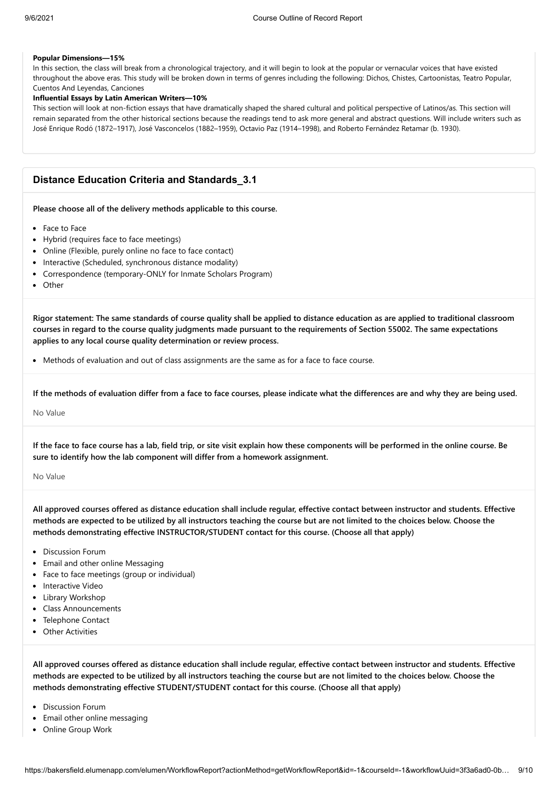#### **Popular Dimensions—15%**

In this section, the class will break from a chronological trajectory, and it will begin to look at the popular or vernacular voices that have existed throughout the above eras. This study will be broken down in terms of genres including the following: Dichos, Chistes, Cartoonistas, Teatro Popular, Cuentos And Leyendas, Canciones

#### **Influential Essays by Latin American Writers—10%**

This section will look at non-fiction essays that have dramatically shaped the shared cultural and political perspective of Latinos/as. This section will remain separated from the other historical sections because the readings tend to ask more general and abstract questions. Will include writers such as José Enrique Rodó (1872–1917), José Vasconcelos (1882–1959), Octavio Paz (1914–1998), and Roberto Fernández Retamar (b. 1930).

### **Distance Education Criteria and Standards\_3.1**

**Please choose all of the delivery methods applicable to this course.**

- Face to Face
- Hybrid (requires face to face meetings)
- Online (Flexible, purely online no face to face contact)
- Interactive (Scheduled, synchronous distance modality)
- Correspondence (temporary-ONLY for Inmate Scholars Program)
- Other

**Rigor statement: The same standards of course quality shall be applied to distance education as are applied to traditional classroom courses in regard to the course quality judgments made pursuant to the requirements of Section 55002. The same expectations applies to any local course quality determination or review process.**

• Methods of evaluation and out of class assignments are the same as for a face to face course.

**If the methods of evaluation differ from a face to face courses, please indicate what the differences are and why they are being used.**

No Value

**If the face to face course has a lab, field trip, or site visit explain how these components will be performed in the online course. Be sure to identify how the lab component will differ from a homework assignment.**

No Value

**All approved courses offered as distance education shall include regular, effective contact between instructor and students. Effective methods are expected to be utilized by all instructors teaching the course but are not limited to the choices below. Choose the methods demonstrating effective INSTRUCTOR/STUDENT contact for this course. (Choose all that apply)**

- Discussion Forum
- Email and other online Messaging
- Face to face meetings (group or individual)
- Interactive Video
- Library Workshop
- Class Announcements
- Telephone Contact
- Other Activities

**All approved courses offered as distance education shall include regular, effective contact between instructor and students. Effective methods are expected to be utilized by all instructors teaching the course but are not limited to the choices below. Choose the methods demonstrating effective STUDENT/STUDENT contact for this course. (Choose all that apply)**

- Discussion Forum
- Email other online messaging
- Online Group Work